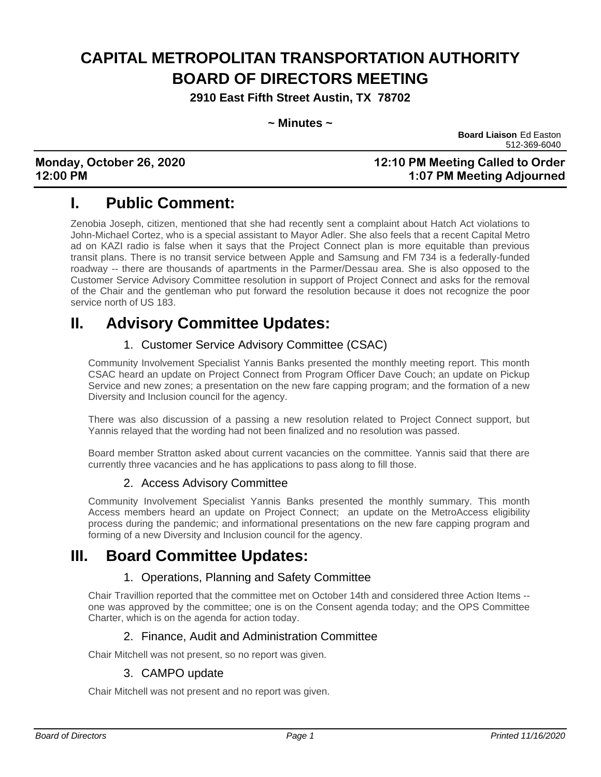# **CAPITAL METROPOLITAN TRANSPORTATION AUTHORITY BOARD OF DIRECTORS MEETING**

**2910 East Fifth Street Austin, TX 78702**

| $\sim$ Minutes $\sim$ |  |
|-----------------------|--|
|-----------------------|--|

**Board Liaison** Ed Easton 512-369-6040

### **Monday, October 26, 2020 12:10 PM Meeting Called to Order 12:00 PM 1:07 PM Meeting Adjourned**

# **I. Public Comment:**

Zenobia Joseph, citizen, mentioned that she had recently sent a complaint about Hatch Act violations to John-Michael Cortez, who is a special assistant to Mayor Adler. She also feels that a recent Capital Metro ad on KAZI radio is false when it says that the Project Connect plan is more equitable than previous transit plans. There is no transit service between Apple and Samsung and FM 734 is a federally-funded roadway -- there are thousands of apartments in the Parmer/Dessau area. She is also opposed to the Customer Service Advisory Committee resolution in support of Project Connect and asks for the removal of the Chair and the gentleman who put forward the resolution because it does not recognize the poor service north of US 183.

## **II. Advisory Committee Updates:**

### 1. Customer Service Advisory Committee (CSAC)

Community Involvement Specialist Yannis Banks presented the monthly meeting report. This month CSAC heard an update on Project Connect from Program Officer Dave Couch; an update on Pickup Service and new zones; a presentation on the new fare capping program; and the formation of a new Diversity and Inclusion council for the agency.

There was also discussion of a passing a new resolution related to Project Connect support, but Yannis relayed that the wording had not been finalized and no resolution was passed.

Board member Stratton asked about current vacancies on the committee. Yannis said that there are currently three vacancies and he has applications to pass along to fill those.

### 2. Access Advisory Committee

Community Involvement Specialist Yannis Banks presented the monthly summary. This month Access members heard an update on Project Connect; an update on the MetroAccess eligibility process during the pandemic; and informational presentations on the new fare capping program and forming of a new Diversity and Inclusion council for the agency.

### **III. Board Committee Updates:**

### 1. Operations, Planning and Safety Committee

Chair Travillion reported that the committee met on October 14th and considered three Action Items - one was approved by the committee; one is on the Consent agenda today; and the OPS Committee Charter, which is on the agenda for action today.

### 2. Finance, Audit and Administration Committee

Chair Mitchell was not present, so no report was given.

### 3. CAMPO update

Chair Mitchell was not present and no report was given.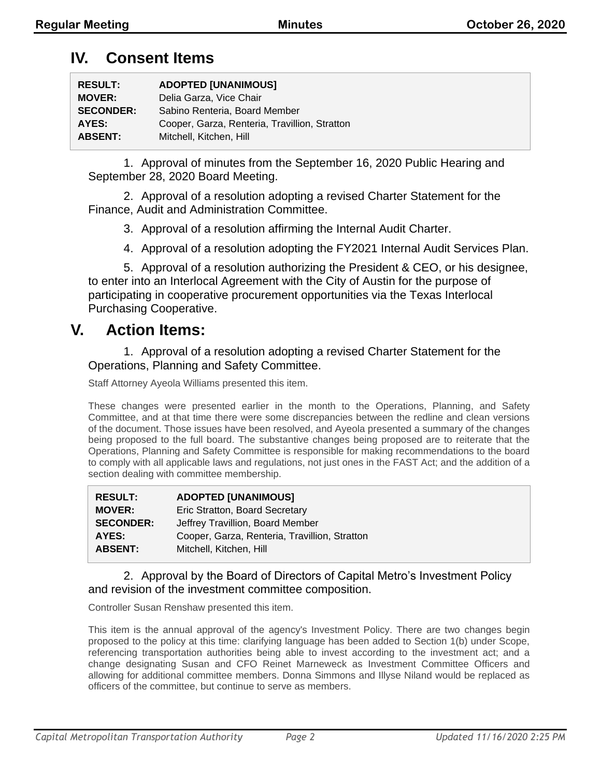### **IV. Consent Items**

| <b>RESULT:</b>   | <b>ADOPTED [UNANIMOUS]</b>                    |
|------------------|-----------------------------------------------|
| <b>MOVER:</b>    | Delia Garza, Vice Chair                       |
| <b>SECONDER:</b> | Sabino Renteria, Board Member                 |
| AYES:            | Cooper, Garza, Renteria, Travillion, Stratton |
| <b>ABSENT:</b>   | Mitchell, Kitchen, Hill                       |

1. Approval of minutes from the September 16, 2020 Public Hearing and September 28, 2020 Board Meeting.

2. Approval of a resolution adopting a revised Charter Statement for the Finance, Audit and Administration Committee.

- 3. Approval of a resolution affirming the Internal Audit Charter.
- 4. Approval of a resolution adopting the FY2021 Internal Audit Services Plan.

5. Approval of a resolution authorizing the President & CEO, or his designee, to enter into an Interlocal Agreement with the City of Austin for the purpose of participating in cooperative procurement opportunities via the Texas Interlocal Purchasing Cooperative.

### **V. Action Items:**

1. Approval of a resolution adopting a revised Charter Statement for the Operations, Planning and Safety Committee.

Staff Attorney Ayeola Williams presented this item.

These changes were presented earlier in the month to the Operations, Planning, and Safety Committee, and at that time there were some discrepancies between the redline and clean versions of the document. Those issues have been resolved, and Ayeola presented a summary of the changes being proposed to the full board. The substantive changes being proposed are to reiterate that the Operations, Planning and Safety Committee is responsible for making recommendations to the board to comply with all applicable laws and regulations, not just ones in the FAST Act; and the addition of a section dealing with committee membership.

| Cooper, Garza, Renteria, Travillion, Stratton |
|-----------------------------------------------|
|                                               |
|                                               |

#### 2. Approval by the Board of Directors of Capital Metro's Investment Policy and revision of the investment committee composition.

Controller Susan Renshaw presented this item.

This item is the annual approval of the agency's Investment Policy. There are two changes begin proposed to the policy at this time: clarifying language has been added to Section 1(b) under Scope, referencing transportation authorities being able to invest according to the investment act; and a change designating Susan and CFO Reinet Marneweck as Investment Committee Officers and allowing for additional committee members. Donna Simmons and Illyse Niland would be replaced as officers of the committee, but continue to serve as members.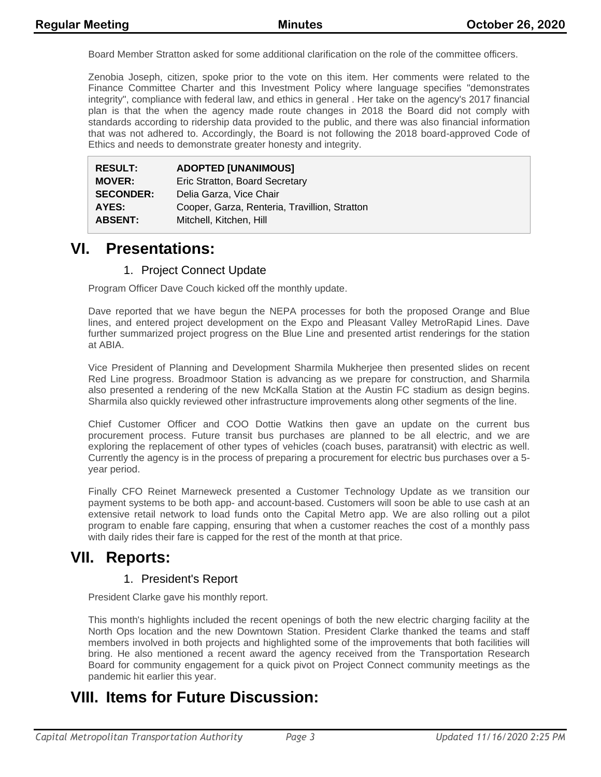Board Member Stratton asked for some additional clarification on the role of the committee officers.

Zenobia Joseph, citizen, spoke prior to the vote on this item. Her comments were related to the Finance Committee Charter and this Investment Policy where language specifies "demonstrates integrity", compliance with federal law, and ethics in general . Her take on the agency's 2017 financial plan is that the when the agency made route changes in 2018 the Board did not comply with standards according to ridership data provided to the public, and there was also financial information that was not adhered to. Accordingly, the Board is not following the 2018 board-approved Code of Ethics and needs to demonstrate greater honesty and integrity.

| <b>RESULT:</b>   | <b>ADOPTED [UNANIMOUS]</b>                    |
|------------------|-----------------------------------------------|
| <b>MOVER:</b>    | Eric Stratton, Board Secretary                |
| <b>SECONDER:</b> | Delia Garza, Vice Chair                       |
| AYES:            | Cooper, Garza, Renteria, Travillion, Stratton |
| <b>ABSENT:</b>   | Mitchell, Kitchen, Hill                       |

### **VI. Presentations:**

#### 1. Project Connect Update

Program Officer Dave Couch kicked off the monthly update.

Dave reported that we have begun the NEPA processes for both the proposed Orange and Blue lines, and entered project development on the Expo and Pleasant Valley MetroRapid Lines. Dave further summarized project progress on the Blue Line and presented artist renderings for the station at ABIA.

Vice President of Planning and Development Sharmila Mukherjee then presented slides on recent Red Line progress. Broadmoor Station is advancing as we prepare for construction, and Sharmila also presented a rendering of the new McKalla Station at the Austin FC stadium as design begins. Sharmila also quickly reviewed other infrastructure improvements along other segments of the line.

Chief Customer Officer and COO Dottie Watkins then gave an update on the current bus procurement process. Future transit bus purchases are planned to be all electric, and we are exploring the replacement of other types of vehicles (coach buses, paratransit) with electric as well. Currently the agency is in the process of preparing a procurement for electric bus purchases over a 5 year period.

Finally CFO Reinet Marneweck presented a Customer Technology Update as we transition our payment systems to be both app- and account-based. Customers will soon be able to use cash at an extensive retail network to load funds onto the Capital Metro app. We are also rolling out a pilot program to enable fare capping, ensuring that when a customer reaches the cost of a monthly pass with daily rides their fare is capped for the rest of the month at that price.

### **VII. Reports:**

#### 1. President's Report

President Clarke gave his monthly report.

This month's highlights included the recent openings of both the new electric charging facility at the North Ops location and the new Downtown Station. President Clarke thanked the teams and staff members involved in both projects and highlighted some of the improvements that both facilities will bring. He also mentioned a recent award the agency received from the Transportation Research Board for community engagement for a quick pivot on Project Connect community meetings as the pandemic hit earlier this year.

# **VIII. Items for Future Discussion:**